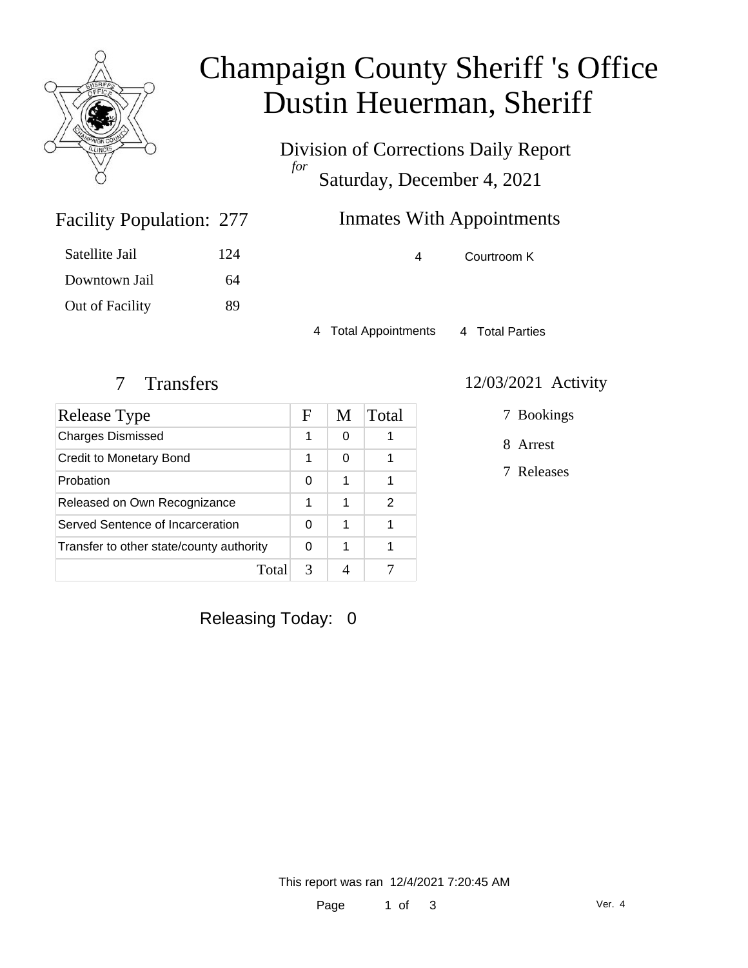

# Champaign County Sheriff 's Office Dustin Heuerman, Sheriff

Division of Corrections Daily Report *for* Saturday, December 4, 2021

### Facility Population: 277

| Satellite Jail  | 124 |
|-----------------|-----|
| Downtown Jail   | 64  |
| Out of Facility | 89  |

## Inmates With Appointments

4 Courtroom K

4 Total Appointments 4 Total Parties

| <b>Release Type</b>                      |   | M | Total |
|------------------------------------------|---|---|-------|
| <b>Charges Dismissed</b>                 | 1 | 0 |       |
| Credit to Monetary Bond                  |   | 0 |       |
| Probation                                | 0 | 1 |       |
| Released on Own Recognizance             | 1 | 1 | 2     |
| Served Sentence of Incarceration         |   | 1 |       |
| Transfer to other state/county authority |   | 1 |       |
| Total                                    | 3 |   |       |

#### 7 Transfers 12/03/2021 Activity

7 Bookings

8 Arrest

7 Releases

Releasing Today: 0

This report was ran 12/4/2021 7:20:45 AM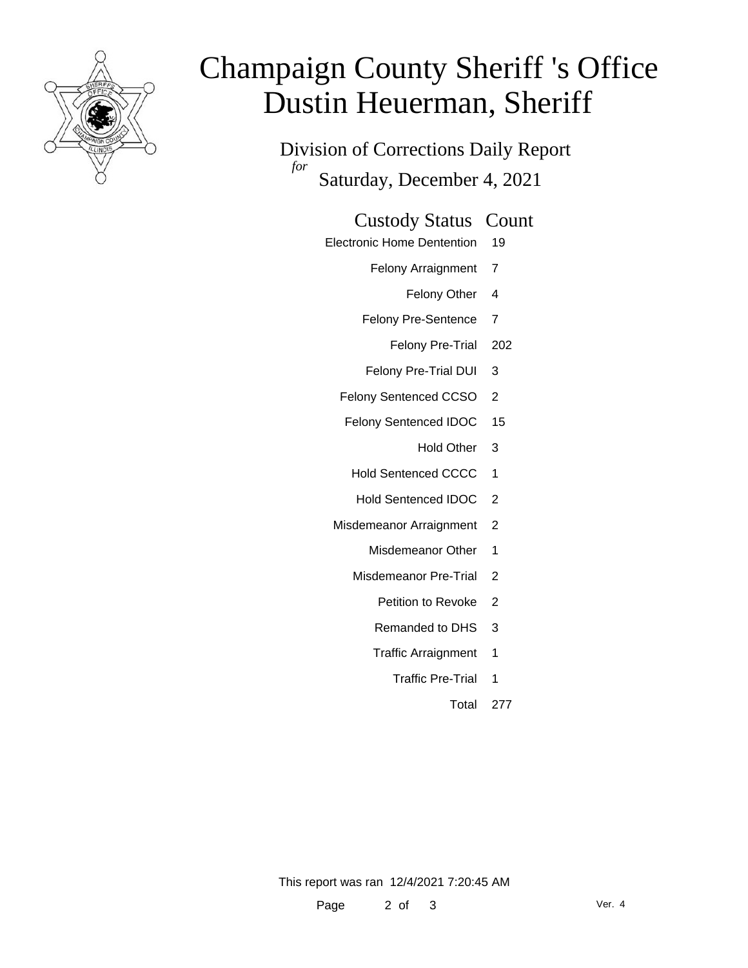

# Champaign County Sheriff 's Office Dustin Heuerman, Sheriff

Division of Corrections Daily Report *for* Saturday, December 4, 2021

#### Custody Status Count

- Electronic Home Dentention 19
	- Felony Arraignment 7
		- Felony Other 4
	- Felony Pre-Sentence 7
		- Felony Pre-Trial 202
	- Felony Pre-Trial DUI 3
	- Felony Sentenced CCSO 2
	- Felony Sentenced IDOC 15
		- Hold Other 3
		- Hold Sentenced CCCC 1
		- Hold Sentenced IDOC 2
	- Misdemeanor Arraignment 2
		- Misdemeanor Other 1
		- Misdemeanor Pre-Trial 2
			- Petition to Revoke 2
			- Remanded to DHS 3
			- Traffic Arraignment 1
				- Traffic Pre-Trial 1
					- Total 277